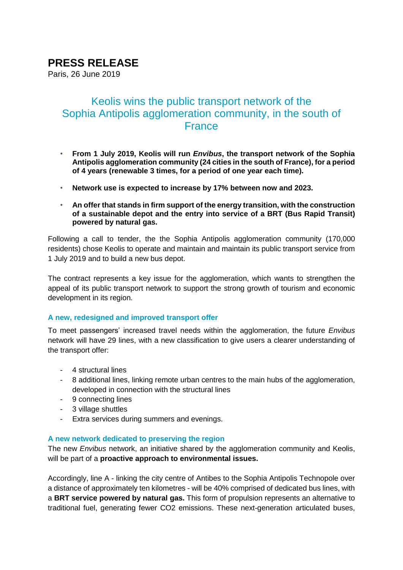# **PRESS RELEASE**

Paris, 26 June 2019

## Keolis wins the public transport network of the Sophia Antipolis agglomeration community, in the south of **France**

- **From 1 July 2019, Keolis will run** *Envibus***, the transport network of the Sophia Antipolis agglomeration community (24 cities in the south of France), for a period of 4 years (renewable 3 times, for a period of one year each time).**
- **Network use is expected to increase by 17% between now and 2023.**
- **An offer that stands in firm support of the energy transition, with the construction of a sustainable depot and the entry into service of a BRT (Bus Rapid Transit) powered by natural gas.**

Following a call to tender, the the Sophia Antipolis agglomeration community (170,000 residents) chose Keolis to operate and maintain and maintain its public transport service from 1 July 2019 and to build a new bus depot.

The contract represents a key issue for the agglomeration, which wants to strengthen the appeal of its public transport network to support the strong growth of tourism and economic development in its region.

#### **A new, redesigned and improved transport offer**

To meet passengers' increased travel needs within the agglomeration, the future *Envibus* network will have 29 lines, with a new classification to give users a clearer understanding of the transport offer:

- 4 structural lines
- 8 additional lines, linking remote urban centres to the main hubs of the agglomeration, developed in connection with the structural lines
- 9 connecting lines
- 3 village shuttles
- Extra services during summers and evenings.

#### **A new network dedicated to preserving the region**

The new *Envibus* network, an initiative shared by the agglomeration community and Keolis, will be part of a **proactive approach to environmental issues.**

Accordingly, line A - linking the city centre of Antibes to the Sophia Antipolis Technopole over a distance of approximately ten kilometres - will be 40% comprised of dedicated bus lines, with a **BRT service powered by natural gas.** This form of propulsion represents an alternative to traditional fuel, generating fewer CO2 emissions. These next-generation articulated buses,